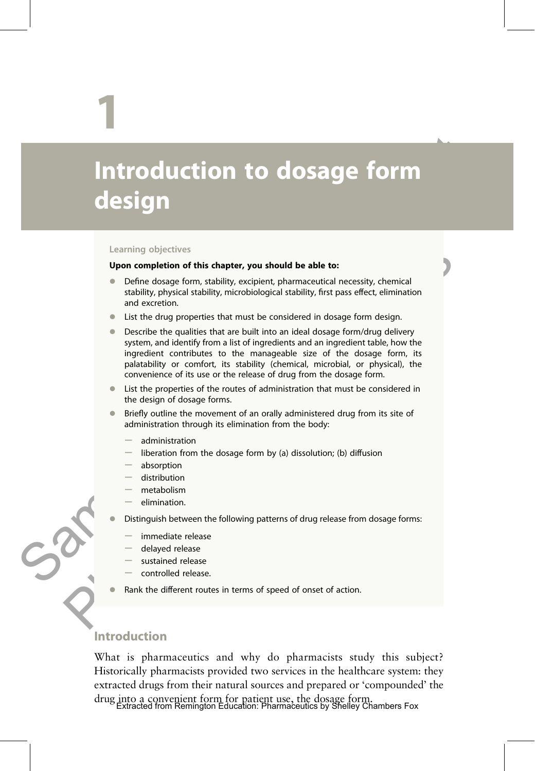# 1

# Introduction to dosage form<br>
design<br>
design<br>
design<br>
design<br>
to this chapter, you should be able to:<br>
Depin completion of this chapter, you should be able to:<br>
Dependicion and the content content content content in measure Introduction to dosage form design

#### Learning objectives

#### Upon completion of this chapter, you should be able to:

- Define dosage form, stability, excipient, pharmaceutical necessity, chemical stability, physical stability, microbiological stability, first pass effect, elimination and excretion.
- List the drug properties that must be considered in dosage form design.
- Learning objectives<br>
Upon completion of this chapter, you should be able to:<br>
Upon completion of this chapter, you should be able to:<br>
a Define dosage form, stability, microbiological stability, first pass effect, eliminat Describe the qualities that are built into an ideal dosage form/drug delivery system, and identify from a list of ingredients and an ingredient table, how the ingredient contributes to the manageable size of the dosage form, its palatability or comfort, its stability (chemical, microbial, or physical), the convenience of its use or the release of drug from the dosage form.
	- List the properties of the routes of administration that must be considered in the design of dosage forms.
	- **Briefly outline the movement of an orally administered drug from its site of** administration through its elimination from the body:
		- administration
		- $-$  liberation from the dosage form by (a) dissolution; (b) diffusion
		- absorption
		- distribution
		- metabolism
		- elimination.
	- Distinguish between the following patterns of drug release from dosage forms:
		- immediate release
		- delaved release
		- sustained release
		- controlled release.
	- Rank the different routes in terms of speed of onset of action.

#### Introduction

What is pharmaceutics and why do pharmacists study this subject? Historically pharmacists provided two services in the healthcare system: they extracted drugs from their natural sources and prepared or 'compounded' the drug into a convenient form for patient use, the dosage form. Extracted from Remington Education: Pharmaceutics by Shelley Chambers Fox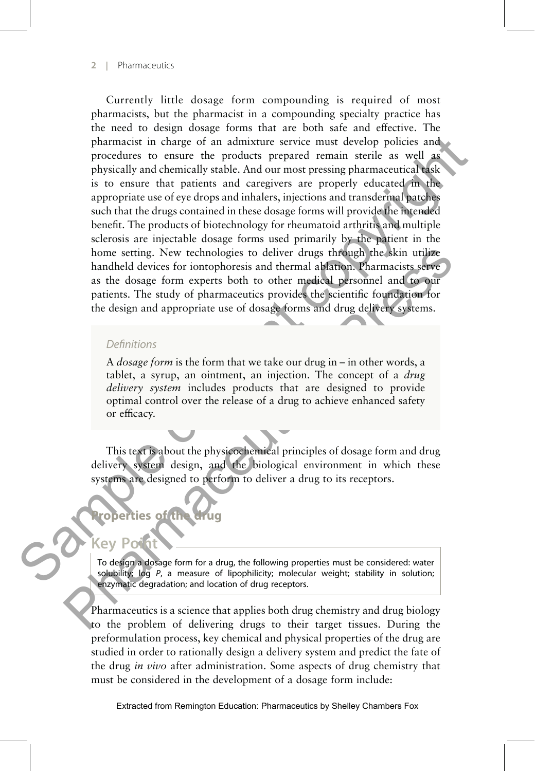pharmaceusis in charge of an administre service must develop policies and<br>physically and chemically stable. And our most present remining strelle as well as<br>physically and chemically stable. And our most pressing pharmace home setting. New technologies to deliver drugs through the kkin utilize<br>handheld devices for iontophoresis and thermal abdition. Plarmacetists genere<br>as the dosage form experts both to other medical personnel and to our<br>p Currently little dosage form compounding is required of most pharmacists, but the pharmacist in a compounding specialty practice has the need to design dosage forms that are both safe and effective. The pharmacist in charge of an admixture service must develop policies and procedures to ensure the products prepared remain sterile as well as physically and chemically stable. And our most pressing pharmaceutical task is to ensure that patients and caregivers are properly educated in the appropriate use of eye drops and inhalers, injections and transdermal patches such that the drugs contained in these dosage forms will provide the intended benefit. The products of biotechnology for rheumatoid arthritis and multiple sclerosis are injectable dosage forms used primarily by the patient in the home setting. New technologies to deliver drugs through the skin utilize handheld devices for iontophoresis and thermal ablation. Pharmacists serve as the dosage form experts both to other medical personnel and to our patients. The study of pharmaceutics provides the scientific foundation for the design and appropriate use of dosage forms and drug delivery systems.

#### Definitions

A dosage form is the form that we take our drug in – in other words, a tablet, a syrup, an ointment, an injection. The concept of a drug delivery system includes products that are designed to provide optimal control over the release of a drug to achieve enhanced safety or efficacy.

This text is about the physicochemical principles of dosage form and drug delivery system design, and the biological environment in which these systems are designed to perform to deliver a drug to its receptors.

# berties of th

**Key Point** 

To design a dosage form for a drug, the following properties must be considered: water solubility; log P, a measure of lipophilicity; molecular weight; stability in solution; enzymatic degradation; and location of drug receptors.

Pharmaceutics is a science that applies both drug chemistry and drug biology to the problem of delivering drugs to their target tissues. During the preformulation process, key chemical and physical properties of the drug are studied in order to rationally design a delivery system and predict the fate of the drug *in vivo* after administration. Some aspects of drug chemistry that must be considered in the development of a dosage form include: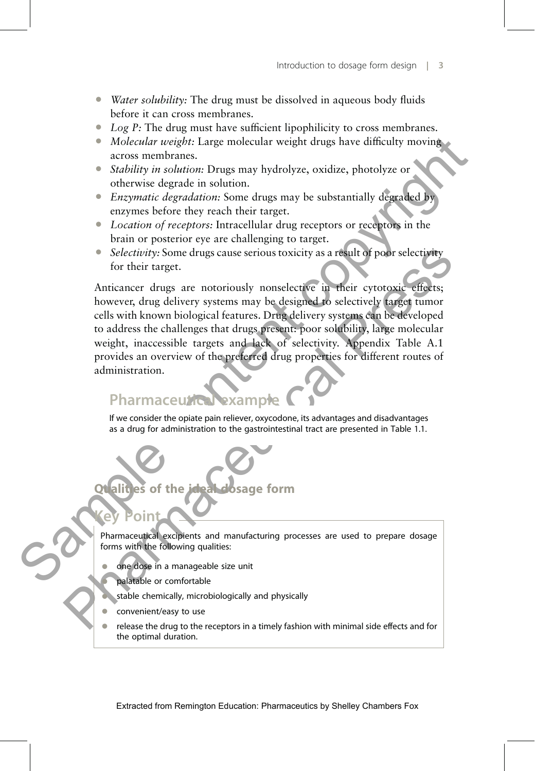- *Water solubility:* The drug must be dissolved in aqueous body fluids before it can cross membranes.
- Log P: The drug must have sufficient lipophilicity to cross membranes.
- Molecular weight: Large molecular weight drugs have difficulty moving across membranes.
- Stability in solution: Drugs may hydrolyze, oxidize, photolyze or otherwise degrade in solution.
- *Enzymatic degradation:* Some drugs may be substantially degraded by enzymes before they reach their target.
- Location of receptors: Intracellular drug receptors or receptors in the brain or posterior eye are challenging to target.
- Selectivity: Some drugs cause serious toxicity as a result of poor selectivity for their target.

Molecular veright: Large molecular weight drugs have difficulty moving<br>across membranes.<br>
Stability in solution: Drugs may hydrolyze, oxidize, photolyze or<br>
orbrews degrade in solution. The drugs may be substantially degra • Selectivity: Some drugs cause serious toxicity as a result of poor selectivity<br>
for their target.<br>
Anticoncer drugs are notoriously nonselective in their cytotoxic efficies;<br>
Anticoncer drugs are notoriously nonselective Anticancer drugs are notoriously nonselective in their cytotoxic effects; however, drug delivery systems may be designed to selectively target tumor cells with known biological features. Drug delivery systems can be developed to address the challenges that drugs present: poor solubility, large molecular weight, inaccessible targets and lack of selectivity. Appendix Table A.1 provides an overview of the preferred drug properties for different routes of administration.

# Pharmaceutical example

If we consider the opiate pain reliever, oxycodone, its advantages and disadvantages as a drug for administration to the gastrointestinal tract are presented in Table 1.1.



Pharmaceutical excipients and manufacturing processes are used to prepare dosage forms with the following qualities:

- one dose in a manageable size unit
- palatable or comfortable
- stable chemically, microbiologically and physically
- convenient/easy to use
- release the drug to the receptors in a timely fashion with minimal side effects and for the optimal duration.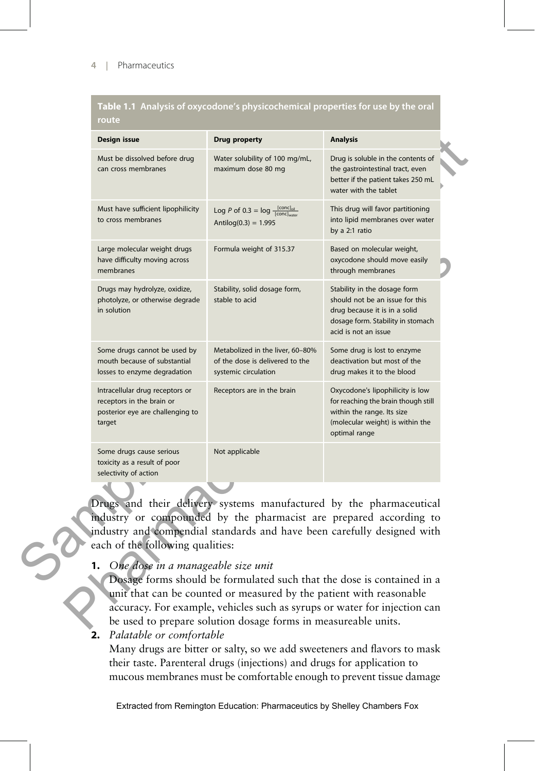#### Table 1.1 Analysis of oxycodone's physicochemical properties for use by the oral route

**2.** Palatable or comfortable

Many drugs are bitter or salty, so we add sweeteners and flavors to mask their taste. Parenteral drugs (injections) and drugs for application to mucous membranes must be comfortable enough to prevent tissue damage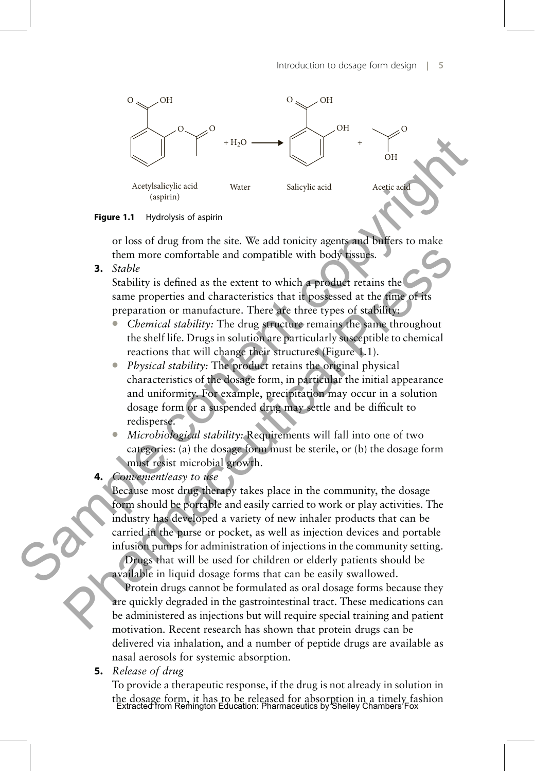

Figure 1.1 Hydrolysis of aspirin

or loss of drug from the site. We add tonicity agents and buffers to make them more comfortable and compatible with body tissues.

3. Stable

Stability is defined as the extent to which a product retains the same properties and characteristics that it possessed at the time of its preparation or manufacture. There are three types of stability:

- Chemical stability: The drug structure remains the same throughout the shelf life. Drugs in solution are particularly susceptible to chemical reactions that will change their structures (Figure 1.1).
- *Physical stability:* The product retains the original physical characteristics of the dosage form, in particular the initial appearance and uniformity. For example, precipitation may occur in a solution dosage form or a suspended drug may settle and be difficult to redisperse.
- Microbiological stability: Requirements will fall into one of two categories: (a) the dosage form must be sterile, or (b) the dosage form must resist microbial growth.
- 4. Convenient/easy to use

them more comfortable and compatible with body usands.<br>
Stablity is defined as the extent to which a product retains the<br>
stability is defined as the extent to which a product retains the<br>
preparation or manufacture. There Because most drug therapy takes place in the community, the dosage form should be portable and easily carried to work or play activities. The industry has developed a variety of new inhaler products that can be carried in the purse or pocket, as well as injection devices and portable infusion pumps for administration of injections in the community setting.

Drugs that will be used for children or elderly patients should be available in liquid dosage forms that can be easily swallowed.

Protein drugs cannot be formulated as oral dosage forms because they are quickly degraded in the gastrointestinal tract. These medications can be administered as injections but will require special training and patient motivation. Recent research has shown that protein drugs can be delivered via inhalation, and a number of peptide drugs are available as nasal aerosols for systemic absorption.

5. Release of drug

To provide a therapeutic response, if the drug is not already in solution in the dosage form, it has to be released for absorption in a timely fashion Extracted from Remington Education: Pharmaceutics by Shelley Chambers Fox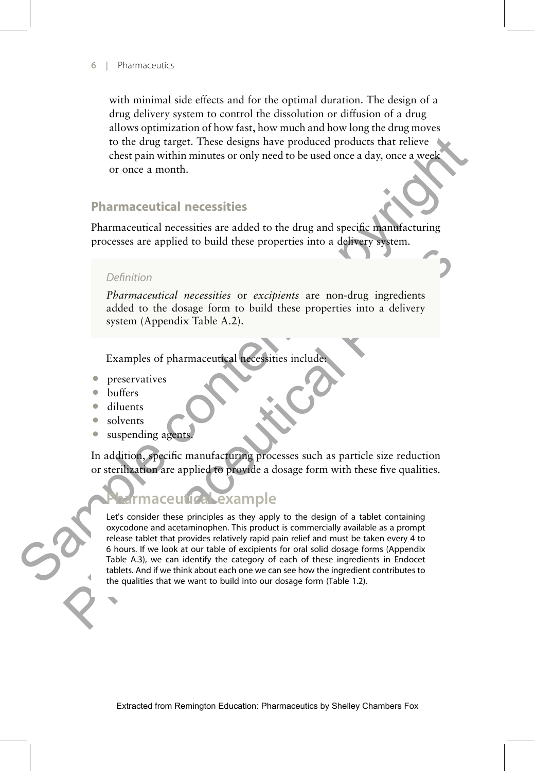#### <sup>6</sup> <sup>|</sup> Pharmaceutics

with minimal side effects and for the optimal duration. The design of a drug delivery system to control the dissolution or diffusion of a drug allows optimization of how fast, how much and how long the drug moves to the drug target. These designs have produced products that relieve chest pain within minutes or only need to be used once a day, once a week or once a month.

#### Pharmaceutical necessities

Pharmaceutical necessities are added to the drug and specific manufacturing processes are applied to build these properties into a delivery system.

#### Definition

Pharmaceutical necessities or excipients are non-drug ingredients added to the dosage form to build these properties into a delivery system (Appendix Table A.2).

Examples of pharmaceutical necessities include:

- **preservatives**
- buffers
- diluents
- solvents
- suspending agents.

In addition, specific manufacturing processes such as particle size reduction or sterilization are applied to provide a dosage form with these five qualities.

# Juda example

to the drug target. These designs have produced products that relieve<br>
or once a month.<br>
or once a month.<br>
Thermaceutical necessities or only meed to be used once a day, ome a week<br>
or once a month.<br>
Pharmaceutical necessi Definition<br>
Pharmaceutical necessities or excipients are non-drug ingredients<br>
added to the dosage form to build these properties into a delivery<br>
system (Appendix Table A.2).<br>
Examples of pharmaceutical necessities includ Let's consider these principles as they apply to the design of a tablet containing oxycodone and acetaminophen. This product is commercially available as a prompt release tablet that provides relatively rapid pain relief and must be taken every 4 to 6 hours. If we look at our table of excipients for oral solid dosage forms (Appendix Table A.3), we can identify the category of each of these ingredients in Endocet tablets. And if we think about each one we can see how the ingredient contributes to the qualities that we want to build into our dosage form (Table 1.2).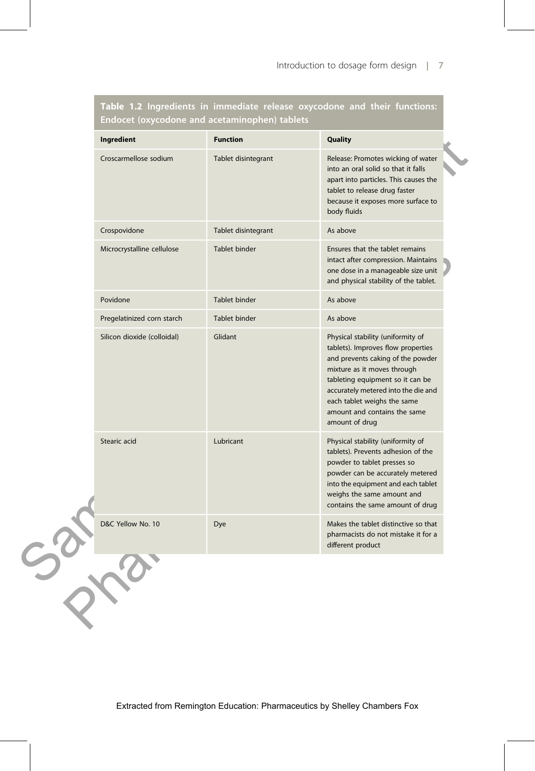| Table 1.2 Ingredients in immediate release oxycodone and their functions: |  |  |  |
|---------------------------------------------------------------------------|--|--|--|
| Endocet (oxycodone and acetaminophen) tablets                             |  |  |  |

| Ingredient                  | <b>Function</b>      | Quality                                                                                                                                                                                                                                                                                                 |
|-----------------------------|----------------------|---------------------------------------------------------------------------------------------------------------------------------------------------------------------------------------------------------------------------------------------------------------------------------------------------------|
| Croscarmellose sodium       | Tablet disintegrant  | Release: Promotes wicking of water<br>into an oral solid so that it falls<br>apart into particles. This causes the<br>tablet to release drug faster<br>because it exposes more surface to<br>body fluids                                                                                                |
| Crospovidone                | Tablet disintegrant  | As above                                                                                                                                                                                                                                                                                                |
| Microcrystalline cellulose  | Tablet binder        | Ensures that the tablet remains<br>intact after compression. Maintains<br>one dose in a manageable size unit<br>and physical stability of the tablet.                                                                                                                                                   |
| Povidone                    | <b>Tablet binder</b> | As above                                                                                                                                                                                                                                                                                                |
| Pregelatinized corn starch  | Tablet binder        | As above                                                                                                                                                                                                                                                                                                |
| Silicon dioxide (colloidal) | Glidant              | Physical stability (uniformity of<br>tablets). Improves flow properties<br>and prevents caking of the powder<br>mixture as it moves through<br>tableting equipment so it can be<br>accurately metered into the die and<br>each tablet weighs the same<br>amount and contains the same<br>amount of drug |
| Stearic acid                | Lubricant            | Physical stability (uniformity of<br>tablets). Prevents adhesion of the<br>powder to tablet presses so<br>powder can be accurately metered<br>into the equipment and each tablet<br>weighs the same amount and<br>contains the same amount of drug                                                      |
| D&C Yellow No. 10           | Dye                  | Makes the tablet distinctive so that<br>pharmacists do not mistake it for a<br>different product                                                                                                                                                                                                        |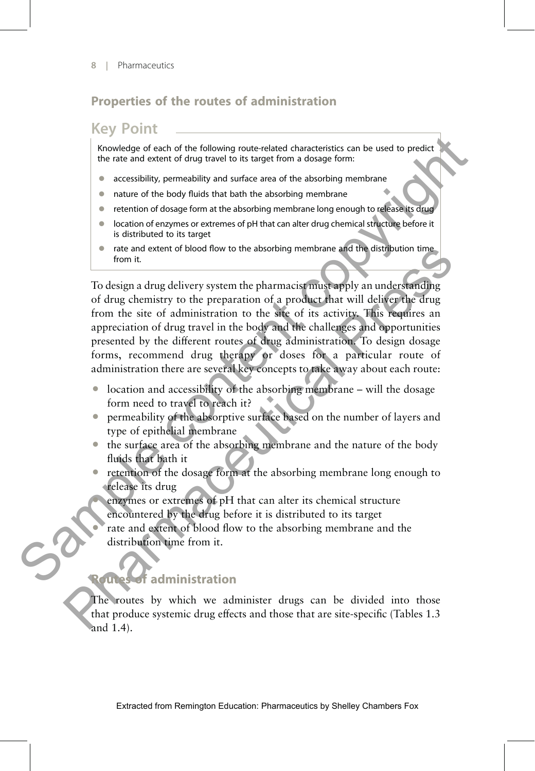# Properties of the routes of administration

# Key Point

Knowledge of each of the following route-related characteristics can be used to predict the rate and extent of drug travel to its target from a dosage form:

- accessibility, permeability and surface area of the absorbing membrane
- nature of the body fluids that bath the absorbing membrane<br>• retention of dosage form at the absorbing membrane long eng
- retention of dosage form at the absorbing membrane long enough to release its drug
- **IDED** location of enzymes or extremes of pH that can alter drug chemical structure before it is distributed to its target
- rate and extent of blood flow to the absorbing membrane and the distribution time from it.

Knowledge of each of the following conte-selated characteristics can be used to predict<br>the rate and edeter of diust taxel to its target from a dosage form:<br>  $\bullet$  accessibility permeability and surface area of the absorbi Free and extent of blood flow to the absorbing membrane and the distribution line<br>
To design a drug delivery system the pharmacist must apply an understanding<br>
of drug chemistry to the preparation of a product that will de To design a drug delivery system the pharmacist must apply an understanding of drug chemistry to the preparation of a product that will deliver the drug from the site of administration to the site of its activity. This requires an appreciation of drug travel in the body and the challenges and opportunities presented by the different routes of drug administration. To design dosage forms, recommend drug therapy or doses for a particular route of administration there are several key concepts to take away about each route:

- $\bullet$  location and accessibility of the absorbing membrane will the dosage form need to travel to reach it?
- permeability of the absorptive surface based on the number of layers and type of epithelial membrane
- $\bullet$  the surface area of the absorbing membrane and the nature of the body fluids that bath it
- retention of the dosage form at the absorbing membrane long enough to release its drug
	- enzymes or extremes of pH that can alter its chemical structure encountered by the drug before it is distributed to its target
	- rate and extent of blood flow to the absorbing membrane and the distribution time from it.

# administration

The routes by which we administer drugs can be divided into those that produce systemic drug effects and those that are site-specific (Tables 1.3 and 1.4).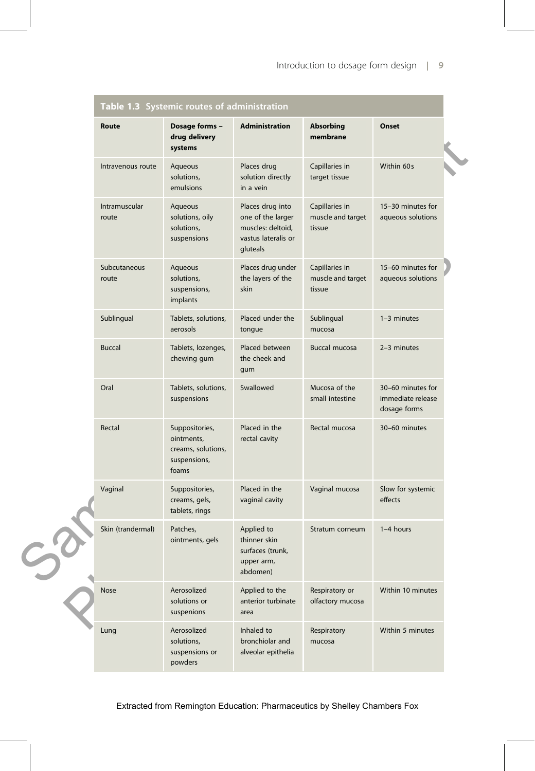|                        | Table 1.3 Systemic routes of administration                                 |                                                                                               |                                               |                                                        |
|------------------------|-----------------------------------------------------------------------------|-----------------------------------------------------------------------------------------------|-----------------------------------------------|--------------------------------------------------------|
| Route                  | Dosage forms -<br>drug delivery<br>systems                                  | <b>Administration</b>                                                                         | <b>Absorbing</b><br>membrane                  | Onset                                                  |
| Intravenous route      | Aqueous<br>solutions,<br>emulsions                                          | Places drug<br>solution directly<br>in a vein                                                 | Capillaries in<br>target tissue               | Within 60s                                             |
| Intramuscular<br>route | Aqueous<br>solutions, oily<br>solutions,<br>suspensions                     | Places drug into<br>one of the larger<br>muscles: deltoid,<br>vastus lateralis or<br>gluteals | Capillaries in<br>muscle and target<br>tissue | 15-30 minutes for<br>aqueous solutions                 |
| Subcutaneous<br>route  | Aqueous<br>solutions,<br>suspensions,<br>implants                           | Places drug under<br>the layers of the<br>skin                                                | Capillaries in<br>muscle and target<br>tissue | 15-60 minutes for<br>aqueous solutions                 |
| Sublingual             | Tablets, solutions,<br>aerosols                                             | Placed under the<br>tongue                                                                    | Sublingual<br>mucosa                          | 1-3 minutes                                            |
| <b>Buccal</b>          | Tablets, lozenges,<br>chewing gum                                           | Placed between<br>the cheek and<br>gum                                                        | <b>Buccal mucosa</b>                          | 2-3 minutes                                            |
| Oral                   | Tablets, solutions,<br>suspensions                                          | Swallowed                                                                                     | Mucosa of the<br>small intestine              | 30-60 minutes for<br>immediate release<br>dosage forms |
| Rectal                 | Suppositories,<br>ointments,<br>creams, solutions,<br>suspensions,<br>foams | Placed in the<br>rectal cavity                                                                | Rectal mucosa                                 | 30-60 minutes                                          |
| Vaginal                | Suppositories,<br>creams, gels,<br>tablets, rings                           | Placed in the<br>vaginal cavity                                                               | Vaginal mucosa                                | Slow for systemic<br>effects                           |
| Skin (trandermal)      | Patches,<br>ointments, gels                                                 | Applied to<br>thinner skin<br>surfaces (trunk,<br>upper arm,<br>abdomen)                      | Stratum corneum                               | $1-4$ hours                                            |
| Nose                   | Aerosolized<br>solutions or<br>suspenions                                   | Applied to the<br>anterior turbinate<br>area                                                  | Respiratory or<br>olfactory mucosa            | Within 10 minutes                                      |
| Lung                   | Aerosolized<br>solutions,<br>suspensions or<br>powders                      | Inhaled to<br>bronchiolar and<br>alveolar epithelia                                           | Respiratory<br>mucosa                         | Within 5 minutes                                       |
|                        |                                                                             |                                                                                               |                                               |                                                        |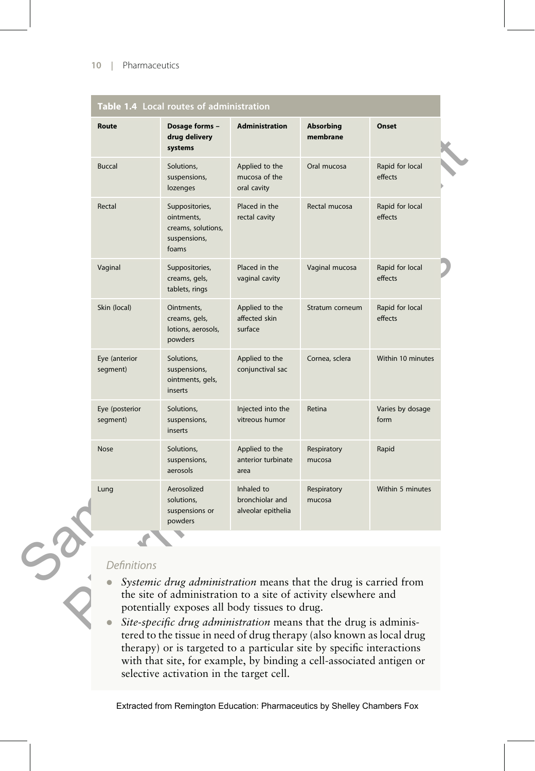|                            | Table 1.4 Local routes of administration                                    |                                                     |                              |                            |
|----------------------------|-----------------------------------------------------------------------------|-----------------------------------------------------|------------------------------|----------------------------|
| Route                      | Dosage forms -<br>drug delivery<br>systems                                  | <b>Administration</b>                               | <b>Absorbing</b><br>membrane | Onset                      |
| <b>Buccal</b>              | Solutions,<br>suspensions,<br>lozenges                                      | Applied to the<br>mucosa of the<br>oral cavity      | Oral mucosa                  | Rapid for local<br>effects |
| Rectal                     | Suppositories,<br>ointments,<br>creams, solutions,<br>suspensions,<br>foams | Placed in the<br>rectal cavity                      | Rectal mucosa                | Rapid for local<br>effects |
| Vaginal                    | Suppositories,<br>creams, gels,<br>tablets, rings                           | Placed in the<br>vaginal cavity                     | Vaginal mucosa               | Rapid for local<br>effects |
| Skin (local)               | Ointments,<br>creams, gels,<br>lotions, aerosols,<br>powders                | Applied to the<br>affected skin<br>surface          | Stratum corneum              | Rapid for local<br>effects |
| Eye (anterior<br>segment)  | Solutions,<br>suspensions,<br>ointments, gels,<br>inserts                   | Applied to the<br>conjunctival sac                  | Cornea, sclera               | Within 10 minutes          |
| Eye (posterior<br>segment) | Solutions,<br>suspensions,<br>inserts                                       | Injected into the<br>vitreous humor                 | Retina                       | Varies by dosage<br>form   |
| Nose                       | Solutions,<br>suspensions,<br>aerosols                                      | Applied to the<br>anterior turbinate<br>area        | Respiratory<br>mucosa        | Rapid                      |
| Lung                       | Aerosolized<br>solutions,<br>suspensions or                                 | Inhaled to<br>bronchiolar and<br>alveolar epithelia | Respiratory<br>mucosa        | Within 5 minutes           |

# Definitions

- Systemic drug administration means that the drug is carried from the site of administration to a site of activity elsewhere and potentially exposes all body tissues to drug.
- Site-specific drug administration means that the drug is administered to the tissue in need of drug therapy (also known as local drug therapy) or is targeted to a particular site by specific interactions with that site, for example, by binding a cell-associated antigen or selective activation in the target cell.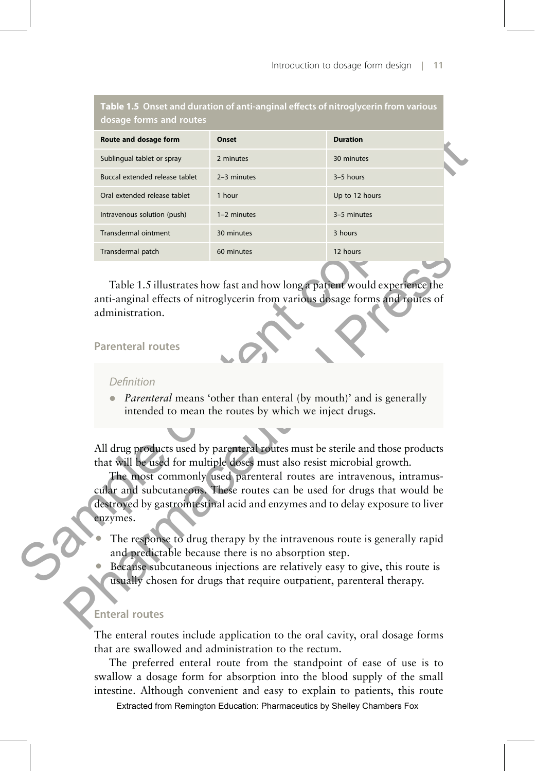#### Table 1.5 Onset and duration of anti-anginal effects of nitroglycerin from various dosage forms and routes

| Onset                                                                                                                                                                                                                                                                                                                                                                                         | <b>Duration</b>                                                                                                                                             |
|-----------------------------------------------------------------------------------------------------------------------------------------------------------------------------------------------------------------------------------------------------------------------------------------------------------------------------------------------------------------------------------------------|-------------------------------------------------------------------------------------------------------------------------------------------------------------|
| 2 minutes                                                                                                                                                                                                                                                                                                                                                                                     | 30 minutes                                                                                                                                                  |
| 2-3 minutes                                                                                                                                                                                                                                                                                                                                                                                   | 3-5 hours                                                                                                                                                   |
| 1 hour                                                                                                                                                                                                                                                                                                                                                                                        | Up to 12 hours                                                                                                                                              |
| 1-2 minutes                                                                                                                                                                                                                                                                                                                                                                                   | 3-5 minutes                                                                                                                                                 |
| 30 minutes                                                                                                                                                                                                                                                                                                                                                                                    | 3 hours                                                                                                                                                     |
| 60 minutes                                                                                                                                                                                                                                                                                                                                                                                    | 12 hours                                                                                                                                                    |
|                                                                                                                                                                                                                                                                                                                                                                                               |                                                                                                                                                             |
| <i>Parenteral</i> means 'other than enteral (by mouth)' and is generally<br>intended to mean the routes by which we inject drugs.                                                                                                                                                                                                                                                             |                                                                                                                                                             |
| All drug products used by parenteral routes must be sterile and those products<br>that will be used for multiple doses must also resist microbial growth.<br>The most commonly used parenteral routes are intravenous, intramus-<br>cular and subcutaneous. These routes can be used for drugs that would be<br>destroyed by gastrointestinal acid and enzymes and to delay exposure to liver |                                                                                                                                                             |
|                                                                                                                                                                                                                                                                                                                                                                                               | Table 1.5 illustrates how fast and how long a patient would experience the<br>anti-anginal effects of nitroglycerin from various dosage forms and routes of |

#### Parenteral routes

#### Definition

Transferral patch<br>
Table 1.5 illustrates how tast and how long a partiant would experience the<br>
anti-anginal effects of nitroglycerin from various dosage forms and routes of<br>
administration.<br>
Parenteral routes<br>
Parenteral The most commonly used parenteral routes are intravenous, intramuscular and subcutaneous. These routes can be used for drugs that would be destroyed by gastrointestinal acid and enzymes and to delay exposure to liver enzymes.

- The response to drug therapy by the intravenous route is generally rapid and predictable because there is no absorption step.
- Because subcutaneous injections are relatively easy to give, this route is usually chosen for drugs that require outpatient, parenteral therapy.

#### Enteral routes

The enteral routes include application to the oral cavity, oral dosage forms that are swallowed and administration to the rectum.

The preferred enteral route from the standpoint of ease of use is to swallow a dosage form for absorption into the blood supply of the small intestine. Although convenient and easy to explain to patients, this route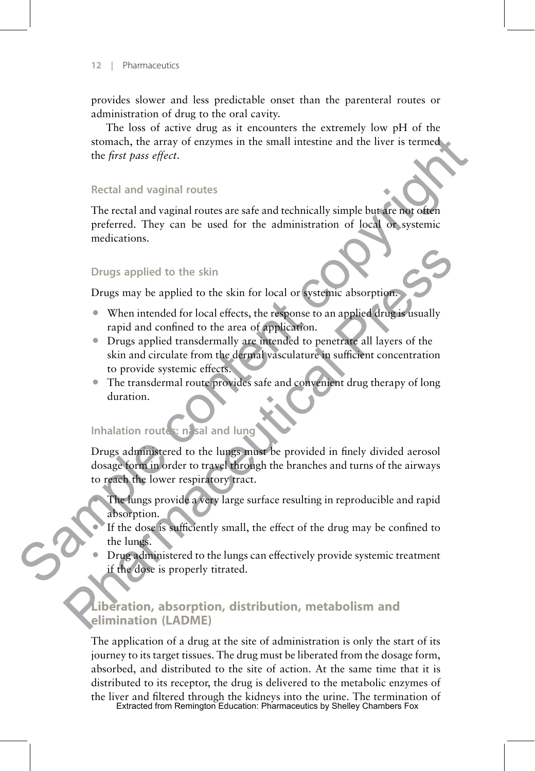provides slower and less predictable onset than the parenteral routes or administration of drug to the oral cavity.

The loss of active drug as it encounters the extremely low pH of the stomach, the array of enzymes in the small intestine and the liver is termed the first pass effect.

#### Rectal and vaginal routes

The rectal and vaginal routes are safe and technically simple but are not often preferred. They can be used for the administration of local or systemic medications.

#### Drugs applied to the skin

Drugs may be applied to the skin for local or systemic absorption.

- When intended for local effects, the response to an applied drug is usually rapid and confined to the area of application.
- Drugs applied transdermally are intended to penetrate all layers of the skin and circulate from the dermal vasculature in sufficient concentration to provide systemic effects.
- The transdermal route provides safe and convenient drug therapy of long duration.

# Inhalation routes: nasal and lung

Sammach, the array of enzymes in the small intestine and the liver is termed<br>the *first pass effect.*<br>Rectal and vaginal routes<br>The rectal and vaginal routes<br>The content preferred. They can be used for the administration o Drugs applied to the skin<br>
Drugs applied to the skin for local or systemic absorption.<br>
• When intended for local effects, the response to an applied drugs busually<br>
rapid and confined to the area of application.<br>
• Drugs Drugs administered to the lungs must be provided in finely divided aerosol dosage form in order to travel through the branches and turns of the airways to reach the lower respiratory tract.

 The lungs provide a very large surface resulting in reproducible and rapid absorption.

- If the dose is sufficiently small, the effect of the drug may be confined to the lungs.
- Drug administered to the lungs can effectively provide systemic treatment if the dose is properly titrated.

### Liberation, absorption, distribution, metabolism and elimination (LADME)

The application of a drug at the site of administration is only the start of its journey to its target tissues. The drug must be liberated from the dosage form, absorbed, and distributed to the site of action. At the same time that it is distributed to its receptor, the drug is delivered to the metabolic enzymes of the liver and filtered through the kidneys into the urine. The termination of Extracted from Remington Education: Pharmaceutics by Shelley Chambers Fox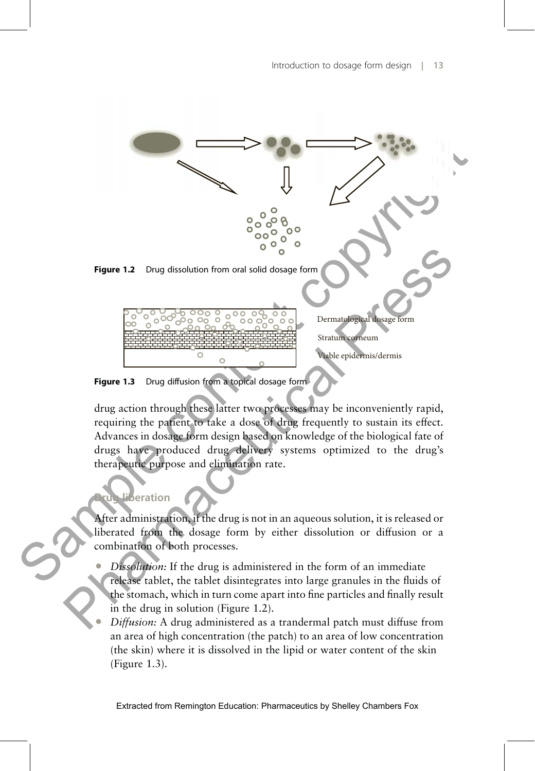

Figure 1.3 Drug diffusion from a topical dosage form

drug action through these latter two processes may be inconveniently rapid, requiring the patient to take a dose of drug frequently to sustain its effect. Advances in dosage form design based on knowledge of the biological fate of drugs have produced drug delivery systems optimized to the drug's therapeutic purpose and elimination rate.

#### **Liberation**

After administration, if the drug is not in an aqueous solution, it is released or liberated from the dosage form by either dissolution or diffusion or a combination of both processes.

- Dissolution: If the drug is administered in the form of an immediate release tablet, the tablet disintegrates into large granules in the fluids of the stomach, which in turn come apart into fine particles and finally result in the drug in solution (Figure 1.2).
- Diffusion: A drug administered as a trandermal patch must diffuse from an area of high concentration (the patch) to an area of low concentration (the skin) where it is dissolved in the lipid or water content of the skin (Figure 1.3).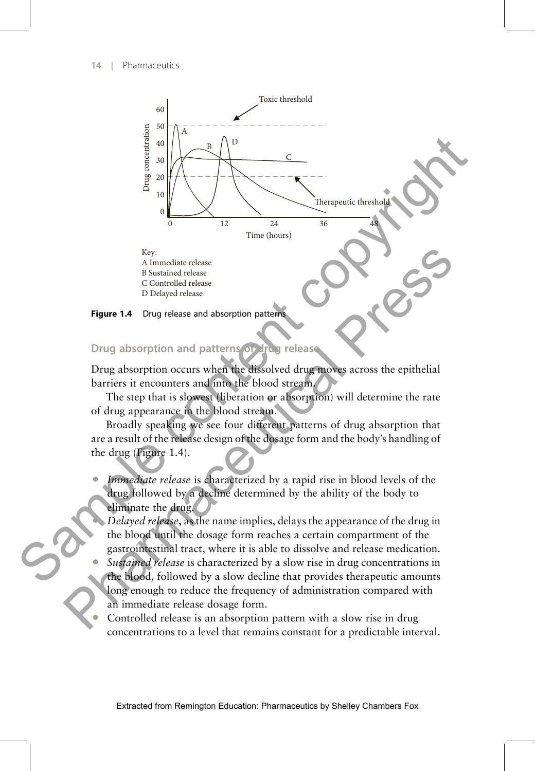

#### Drug absorption and patterns of drug release

Drug absorption occurs when the dissolved drug moves across the epithelial barriers it encounters and into the blood stream.

The step that is slowest (liberation or absorption) will determine the rate of drug appearance in the blood stream.

Broadly speaking we see four different patterns of drug absorption that are a result of the release design of the dosage form and the body's handling of the drug (Figure 1.4).

- Immediate release is characterized by a rapid rise in blood levels of the drug followed by a decline determined by the ability of the body to eliminate the drug.
	- Delayed release, as the name implies, delays the appearance of the drug in the blood until the dosage form reaches a certain compartment of the gastrointestinal tract, where it is able to dissolve and release medication.
- Drug absorption and patterns of a total release<br>
Drug absorption occurs when the dissolved drug moves act<br>
barriers it encounters and into the blood stream.<br>
The step that is slowest (liberation or absorption) will d<br>
of d Sustained release is characterized by a slow rise in drug concentrations in the blood, followed by a slow decline that provides therapeutic amounts long enough to reduce the frequency of administration compared with an immediate release dosage form.
	- Controlled release is an absorption pattern with a slow rise in drug concentrations to a level that remains constant for a predictable interval.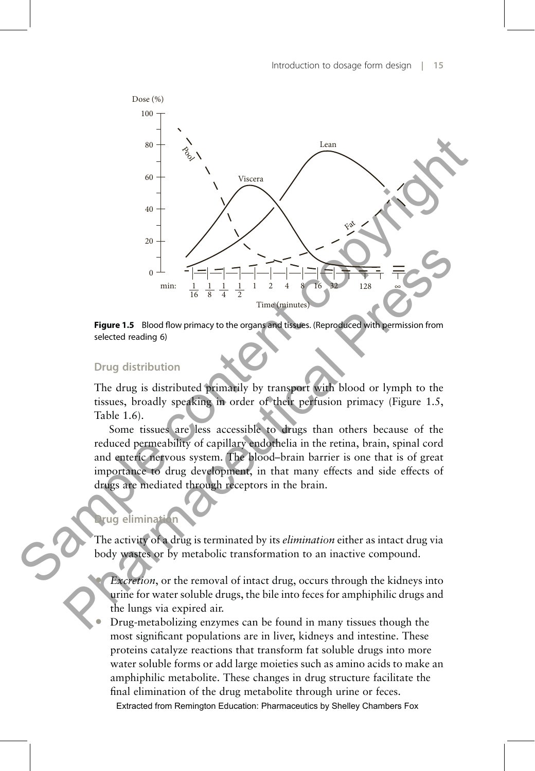

Figure 1.5 Blood flow primacy to the organs and tissues. (Reproduced with permission from selected reading 6)

#### Drug distribution

The drug is distributed primarily by transport with blood or lymph to the tissues, broadly speaking in order of their perfusion primacy (Figure 1.5, Table 1.6).

Drug distribution<br>
The drug is distributed primarily by transport with blood<br>
tissues, broadly speaking in order of their perfusion prin<br>
Table 1.6).<br>
Some tissues are less accessible to drugs than other<br>
reduced permeabil Some tissues are less accessible to drugs than others because of the reduced permeability of capillary endothelia in the retina, brain, spinal cord and enteric nervous system. The blood–brain barrier is one that is of great importance to drug development, in that many effects and side effects of drugs are mediated through receptors in the brain.

#### **Drug elimination**

The activity of a drug is terminated by its *elimination* either as intact drug via body wastes or by metabolic transformation to an inactive compound.

Excretion, or the removal of intact drug, occurs through the kidneys into urine for water soluble drugs, the bile into feces for amphiphilic drugs and the lungs via expired air.

 Drug-metabolizing enzymes can be found in many tissues though the most significant populations are in liver, kidneys and intestine. These proteins catalyze reactions that transform fat soluble drugs into more water soluble forms or add large moieties such as amino acids to make an amphiphilic metabolite. These changes in drug structure facilitate the final elimination of the drug metabolite through urine or feces. Extracted from Remington Education: Pharmaceutics by Shelley Chambers Fox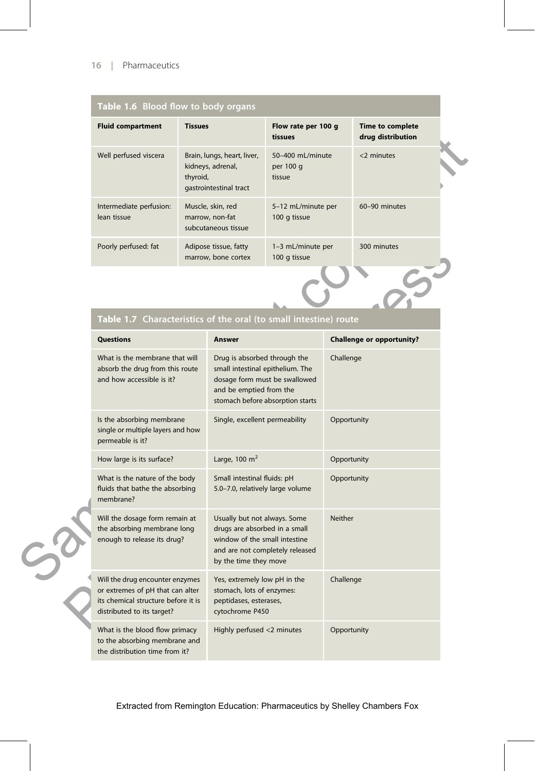| Table 1.6 Blood flow to body organs    |                                                                                        |                                         |                                              |
|----------------------------------------|----------------------------------------------------------------------------------------|-----------------------------------------|----------------------------------------------|
| <b>Fluid compartment</b>               | <b>Tissues</b>                                                                         | Flow rate per 100 q<br>tissues          | <b>Time to complete</b><br>drug distribution |
| Well perfused viscera                  | Brain, lungs, heart, liver,<br>kidneys, adrenal,<br>thyroid,<br>gastrointestinal tract | 50-400 mL/minute<br>per 100 g<br>tissue | $<$ 2 minutes                                |
| Intermediate perfusion:<br>lean tissue | Muscle, skin, red<br>marrow, non-fat<br>subcutaneous tissue                            | 5-12 mL/minute per<br>100 g tissue      | 60-90 minutes                                |
| Poorly perfused: fat                   | Adipose tissue, fatty<br>marrow, bone cortex                                           | 1-3 mL/minute per<br>100 g tissue       | 300 minutes                                  |

# Table 1.7 Characteristics of the oral (to small intestine) route

|                                                                                                                                          |                                                             |                                                                                                                                                            | tissues                                                           |                | drug distribution         |
|------------------------------------------------------------------------------------------------------------------------------------------|-------------------------------------------------------------|------------------------------------------------------------------------------------------------------------------------------------------------------------|-------------------------------------------------------------------|----------------|---------------------------|
| Well perfused viscera                                                                                                                    | thyroid,                                                    | Brain, lungs, heart, liver,<br>kidneys, adrenal,<br>gastrointestinal tract                                                                                 | 50-400 mL/minute<br>per 100 g<br>tissue                           |                | <2 minutes                |
| Intermediate perfusion:<br>lean tissue                                                                                                   | Muscle, skin, red<br>marrow, non-fat<br>subcutaneous tissue |                                                                                                                                                            | 5-12 mL/minute per<br>100 g tissue                                |                | 60-90 minutes             |
| Poorly perfused: fat                                                                                                                     |                                                             | Adipose tissue, fatty<br>marrow, bone cortex                                                                                                               | 1-3 mL/minute per<br>100 g tissue                                 |                | 300 minutes               |
| Table 1.7 Characteristics of the oral (to small intestine) route                                                                         |                                                             |                                                                                                                                                            |                                                                   |                |                           |
| <b>Questions</b>                                                                                                                         |                                                             | Answer                                                                                                                                                     |                                                                   |                | Challenge or opportunity? |
| What is the membrane that will<br>absorb the drug from this route<br>and how accessible is it?                                           |                                                             | Drug is absorbed through the<br>small intestinal epithelium. The<br>and be emptied from the                                                                | dosage form must be swallowed<br>stomach before absorption starts | Challenge      |                           |
| Is the absorbing membrane<br>single or multiple layers and how<br>permeable is it?                                                       |                                                             | Single, excellent permeability                                                                                                                             |                                                                   | Opportunity    |                           |
| How large is its surface?                                                                                                                |                                                             | Large, 100 $m2$                                                                                                                                            |                                                                   | Opportunity    |                           |
| What is the nature of the body<br>fluids that bathe the absorbing<br>membrane?                                                           |                                                             | Small intestinal fluids: pH<br>5.0-7.0, relatively large volume                                                                                            |                                                                   | Opportunity    |                           |
| Will the dosage form remain at<br>the absorbing membrane long<br>enough to release its drug?                                             |                                                             | Usually but not always. Some<br>drugs are absorbed in a small<br>window of the small intestine<br>and are not completely released<br>by the time they move |                                                                   | <b>Neither</b> |                           |
| Will the drug encounter enzymes<br>or extremes of pH that can alter<br>its chemical structure before it is<br>distributed to its target? |                                                             | Yes, extremely low pH in the<br>stomach, lots of enzymes:<br>peptidases, esterases,<br>cytochrome P450                                                     |                                                                   | Challenge      |                           |
| What is the blood flow primacy<br>to the absorbing membrane and<br>the distribution time from it?                                        |                                                             | Highly perfused <2 minutes                                                                                                                                 |                                                                   | Opportunity    |                           |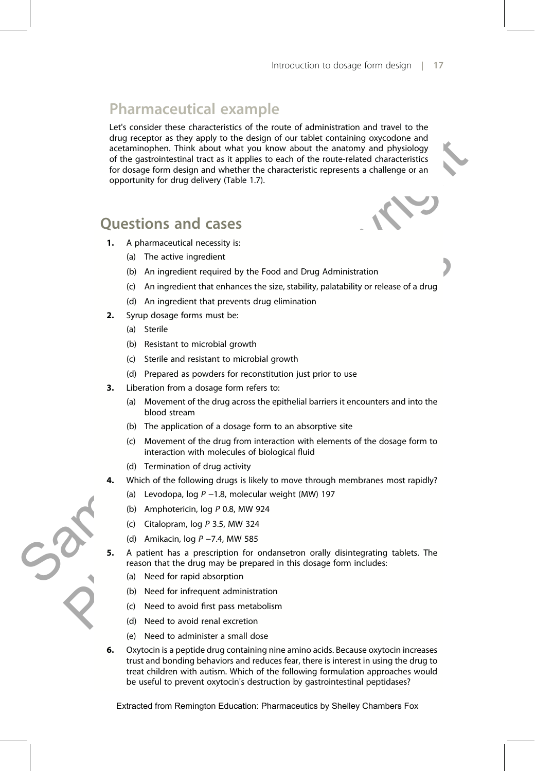# Pharmaceutical example

drug receptor as they apply to the design of our tablet containing oxycodors and<br>extensionless than design of the content controlling oxycodors of the gastronices<br>that design and whether the characteristic represents a ch Let's consider these characteristics of the route of administration and travel to the drug receptor as they apply to the design of our tablet containing oxycodone and acetaminophen. Think about what you know about the anatomy and physiology of the gastrointestinal tract as it applies to each of the route-related characteristics for dosage form design and whether the characteristic represents a challenge or an opportunity for drug delivery (Table 1.7).

# Questions and cases

- 1. A pharmaceutical necessity is:
	- (a) The active ingredient
	- (b) An ingredient required by the Food and Drug Administration
	- (c) An ingredient that enhances the size, stability, palatability or release of a drug
	- (d) An ingredient that prevents drug elimination
- 2. Syrup dosage forms must be:
	- (a) Sterile
	- (b) Resistant to microbial growth
	- (c) Sterile and resistant to microbial growth
	- (d) Prepared as powders for reconstitution just prior to use
- 3. Liberation from a dosage form refers to:
	- (a) Movement of the drug across the epithelial barriers it encounters and into the blood stream
	- (b) The application of a dosage form to an absorptive site
	- (c) Movement of the drug from interaction with elements of the dosage form to interaction with molecules of biological fluid
	- (d) Termination of drug activity
- 4. Which of the following drugs is likely to move through membranes most rapidly?
	- (a) Levodopa, log P −1.8, molecular weight (MW) 197
	- (b) Amphotericin, log P 0.8, MW 924
	- (c) Citalopram, log P 3.5, MW 324
	- (d) Amikacin, log P −7.4, MW 585
- (a) The active ingredient<br>
(b) An ingredient required by the Food and Drug Administration<br>
(c) An ingredient trath endances the size, stability, palatability or release of a drug<br>
(d) An ingredient that prevents drug elim 5. A patient has a prescription for ondansetron orally disintegrating tablets. The reason that the drug may be prepared in this dosage form includes:
	- (a) Need for rapid absorption
	- (b) Need for infrequent administration
	- (c) Need to avoid first pass metabolism
	- (d) Need to avoid renal excretion
	- (e) Need to administer a small dose
	- 6. Oxytocin is a peptide drug containing nine amino acids. Because oxytocin increases trust and bonding behaviors and reduces fear, there is interest in using the drug to treat children with autism. Which of the following formulation approaches would be useful to prevent oxytocin's destruction by gastrointestinal peptidases?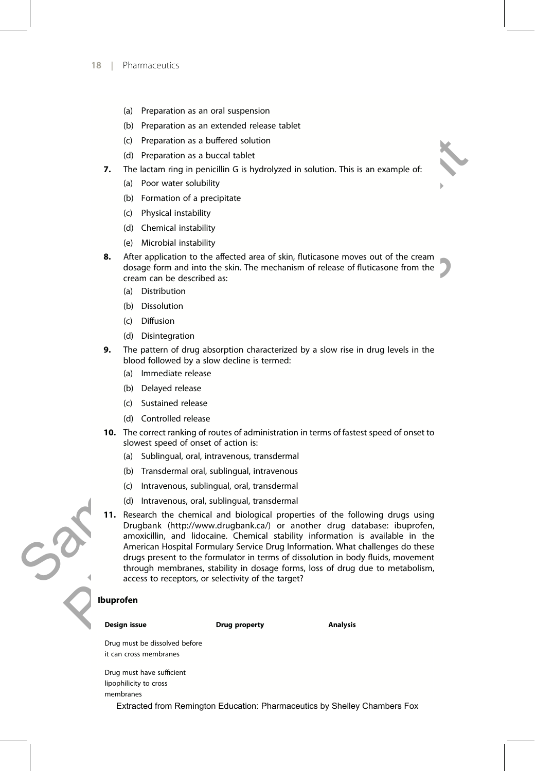- (a) Preparation as an oral suspension
- (b) Preparation as an extended release tablet
- (c) Preparation as a buffered solution
- (d) Preparation as a buccal tablet
- 7. The lactam ring in penicillin G is hydrolyzed in solution. This is an example of:
	- (a) Poor water solubility
	- (b) Formation of a precipitate
	- (c) Physical instability
	- (d) Chemical instability
	- (e) Microbial instability
- 8. After application to the affected area of skin, fluticasone moves out of the cream dosage form and into the skin. The mechanism of release of fluticasone from the cream can be described as:
	- (a) Distribution
	- (b) Dissolution
	- (c) Diffusion
	- (d) Disintegration
- 9. The pattern of drug absorption characterized by a slow rise in drug levels in the blood followed by a slow decline is termed:
	- (a) Immediate release
	- (b) Delayed release
	- (c) Sustained release
	- (d) Controlled release
- 10. The correct ranking of routes of administration in terms of fastest speed of onset to slowest speed of onset of action is:
	- (a) Sublingual, oral, intravenous, transdermal
	- (b) Transdermal oral, sublingual, intravenous
	- (c) Intravenous, sublingual, oral, transdermal
	- (d) Intravenous, oral, sublingual, transdermal
- (c) Preparation as a burdered olition<br>
(d) Preparation as a burderd solution<br>
2). The lactam ring in peniclliin G is hydrolyzed in solution. This is an example of:<br>
(a) Provideo of a precipitate<br>
(b) Formation of a precipi 8. After application to the affected area of skin, fluticasone moves out of the cream<br>
dossay form and into the skin. The mechanism of release of fluticasone from the<br>
cream cream can be described as:<br>
(a) Distibution<br>
(b) 11. Research the chemical and biological properties of the following drugs using Drugbank (http://www.drugbank.ca/) or another drug database: ibuprofen, amoxicillin, and lidocaine. Chemical stability information is available in the American Hospital Formulary Service Drug Information. What challenges do these drugs present to the formulator in terms of dissolution in body fluids, movement through membranes, stability in dosage forms, loss of drug due to metabolism, access to receptors, or selectivity of the target?

#### Ibuprofen

#### Design issue **Drug property CONFINGLE Analysis**

Drug must be dissolved before it can cross membranes

Drug must have sufficient lipophilicity to cross membranes

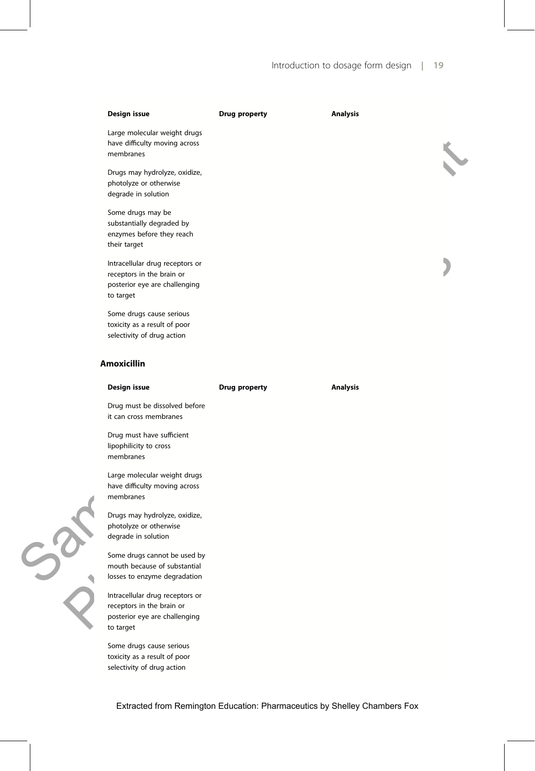| Design issue                                                                                               | <b>Drug property</b> | <b>Analysis</b> |  |
|------------------------------------------------------------------------------------------------------------|----------------------|-----------------|--|
| Large molecular weight drugs<br>have difficulty moving across<br>membranes                                 |                      |                 |  |
| Drugs may hydrolyze, oxidize,<br>photolyze or otherwise<br>degrade in solution                             |                      |                 |  |
| Some drugs may be<br>substantially degraded by<br>enzymes before they reach<br>their target                |                      |                 |  |
| Intracellular drug receptors or<br>receptors in the brain or<br>posterior eye are challenging<br>to target |                      |                 |  |
| Some drugs cause serious<br>toxicity as a result of poor<br>selectivity of drug action                     |                      |                 |  |
| <b>Amoxicillin</b>                                                                                         |                      |                 |  |
| Design issue                                                                                               | Drug property        | <b>Analysis</b> |  |
| Drug must be dissolved before<br>it can cross membranes                                                    |                      |                 |  |
| Drug must have sufficient<br>lipophilicity to cross<br>membranes                                           |                      |                 |  |
| Large molecular weight drugs<br>have difficulty moving across<br>membranes                                 |                      |                 |  |
| Drugs may hydrolyze, oxidize,<br>photolyze or otherwise<br>degrade in solution                             |                      |                 |  |
| Some drugs cannot be used by<br>mouth because of substantial<br>losses to enzyme degradation               |                      |                 |  |
| Intracellular drug receptors or<br>receptors in the brain or<br>posterior eye are challenging<br>to target |                      |                 |  |
| Some drugs cause serious<br>toxicity as a result of poor<br>selectivity of drug action                     |                      |                 |  |

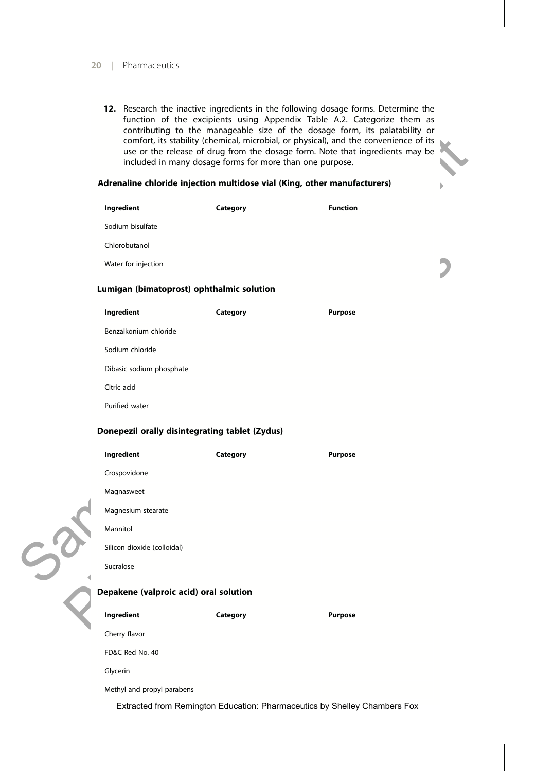12. Research the inactive ingredients in the following dosage forms. Determine the function of the excipients using Appendix Table A.2. Categorize them as contributing to the manageable size of the dosage form, its palatability or comfort, its stability (chemical, microbial, or physical), and the convenience of its use or the release of drug from the dosage form. Note that ingredients may be included in many dosage forms for more than one purpose.

#### Adrenaline chloride injection multidose vial (King, other manufacturers)

|                                                | included in many dosage forms for more than one purpose. | comfort, its stability (chemical, microbial, or physical), and the convenience of its<br>use or the release of drug from the dosage form. Note that ingredients may be |  |
|------------------------------------------------|----------------------------------------------------------|------------------------------------------------------------------------------------------------------------------------------------------------------------------------|--|
|                                                |                                                          | Adrenaline chloride injection multidose vial (King, other manufacturers)                                                                                               |  |
| Ingredient                                     | Category                                                 | <b>Function</b>                                                                                                                                                        |  |
| Sodium bisulfate                               |                                                          |                                                                                                                                                                        |  |
| Chlorobutanol                                  |                                                          |                                                                                                                                                                        |  |
| Water for injection                            |                                                          |                                                                                                                                                                        |  |
| Lumigan (bimatoprost) ophthalmic solution      |                                                          |                                                                                                                                                                        |  |
| Ingredient                                     | Category                                                 | <b>Purpose</b>                                                                                                                                                         |  |
| Benzalkonium chloride                          |                                                          |                                                                                                                                                                        |  |
| Sodium chloride                                |                                                          |                                                                                                                                                                        |  |
| Dibasic sodium phosphate                       |                                                          |                                                                                                                                                                        |  |
| Citric acid                                    |                                                          |                                                                                                                                                                        |  |
| Purified water                                 |                                                          |                                                                                                                                                                        |  |
| Donepezil orally disintegrating tablet (Zydus) |                                                          |                                                                                                                                                                        |  |
| Ingredient                                     | Category                                                 | <b>Purpose</b>                                                                                                                                                         |  |
| Crospovidone                                   |                                                          |                                                                                                                                                                        |  |
| Magnasweet                                     |                                                          |                                                                                                                                                                        |  |
| Magnesium stearate                             |                                                          |                                                                                                                                                                        |  |
| Mannitol                                       |                                                          |                                                                                                                                                                        |  |
| Silicon dioxide (colloidal)                    |                                                          |                                                                                                                                                                        |  |
| Sucralose                                      |                                                          |                                                                                                                                                                        |  |
|                                                |                                                          |                                                                                                                                                                        |  |

Water for injection<br>
Water for injection<br>
Lumigan (bimatoprost) ophthalmic solution<br>
Ingredient<br>
Bressichoim chloride<br>
Sorium chloride<br>
Dibasic solium phosphate<br>
Citric acid<br>
Purfied water<br> **Donepezil orally disintegrating** Crospovidone Magnasweet Magnesium stearate Mannitol Silicon dioxide (colloidal) Sucralose Depakene (valproic acid) oral solution

| Ingredient                 | Category | Purpose |
|----------------------------|----------|---------|
| Cherry flavor              |          |         |
| FD&C Red No. 40            |          |         |
| Glycerin                   |          |         |
| Methyl and propyl parabens |          |         |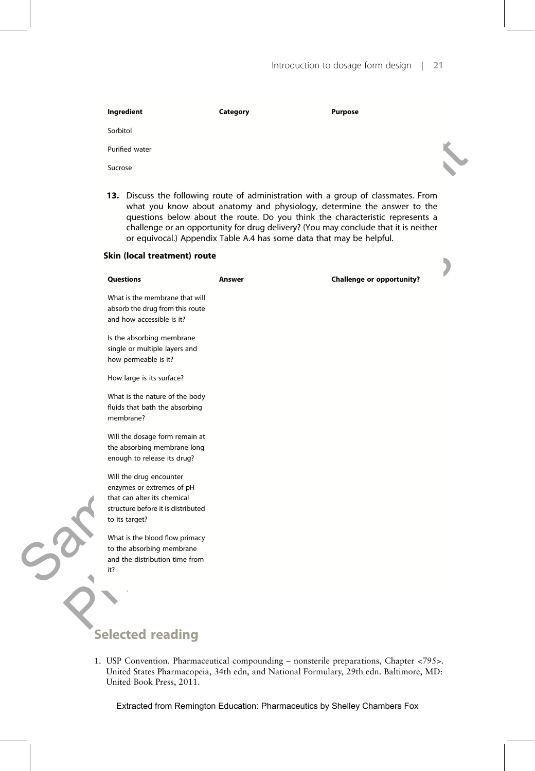# Ingredient Category Purpose Sorbitol Purified water Sucrose

#### Skin (local treatment) route

|                                                                                                                                             |        | 13. Discuss the following route of administration with a group of classmates. From                                                                                                                                                                                                                                      |
|---------------------------------------------------------------------------------------------------------------------------------------------|--------|-------------------------------------------------------------------------------------------------------------------------------------------------------------------------------------------------------------------------------------------------------------------------------------------------------------------------|
|                                                                                                                                             |        | what you know about anatomy and physiology, determine the answer to the<br>questions below about the route. Do you think the characteristic represents a<br>challenge or an opportunity for drug delivery? (You may conclude that it is neither<br>or equivocal.) Appendix Table A.4 has some data that may be helpful. |
| Skin (local treatment) route                                                                                                                |        |                                                                                                                                                                                                                                                                                                                         |
| <b>Questions</b>                                                                                                                            | Answer | Challenge or opportunity?                                                                                                                                                                                                                                                                                               |
| What is the membrane that will<br>absorb the drug from this route<br>and how accessible is it?                                              |        |                                                                                                                                                                                                                                                                                                                         |
| Is the absorbing membrane<br>single or multiple layers and<br>how permeable is it?                                                          |        |                                                                                                                                                                                                                                                                                                                         |
| How large is its surface?                                                                                                                   |        |                                                                                                                                                                                                                                                                                                                         |
| What is the nature of the body<br>fluids that bath the absorbing<br>membrane?                                                               |        |                                                                                                                                                                                                                                                                                                                         |
| Will the dosage form remain at<br>the absorbing membrane long<br>enough to release its drug?                                                |        |                                                                                                                                                                                                                                                                                                                         |
| Will the drug encounter<br>enzymes or extremes of pH<br>that can alter its chemical<br>structure before it is distributed<br>to its target? |        |                                                                                                                                                                                                                                                                                                                         |
| What is the blood flow primacy<br>to the absorbing membrane                                                                                 |        |                                                                                                                                                                                                                                                                                                                         |
| and the distribution time from<br>it?                                                                                                       |        |                                                                                                                                                                                                                                                                                                                         |

# Selected reading

1. USP Convention. Pharmaceutical compounding – nonsterile preparations, Chapter <795>. United States Pharmacopeia, 34th edn, and National Formulary, 29th edn. Baltimore, MD: United Book Press, 2011.